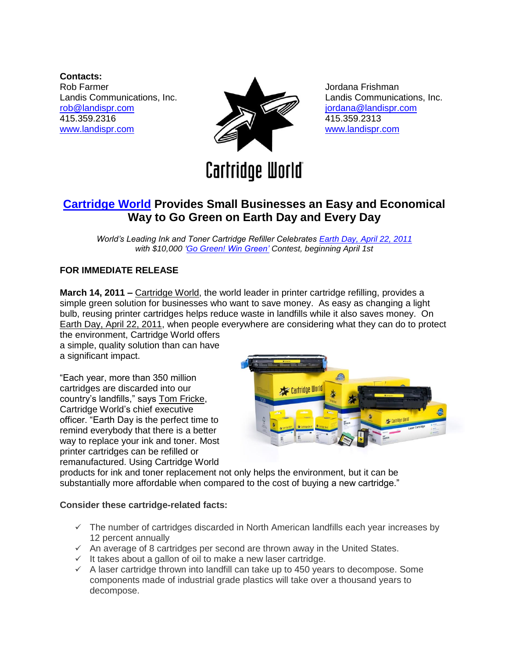**Contacts:** Rob Farmer Landis Communications, Inc. [rob@landispr.com](mailto:rob@landispr.com) 415.359.2316 [www.landispr.com](http://www.landispr.com/)



Jordana Frishman Landis Communications, Inc. [jordana@landispr.com](mailto:jordana@landispr.com) 415.359.2313 [www.landispr.com](http://www.landispr.com/)

# **Cartridge World**

# **[Cartridge World](http://www.cartridgeworld.com/) Provides Small Businesses an Easy and Economical Way to Go Green on Earth Day and Every Day**

*World's Leading Ink and Toner Cartridge Refiller Celebrates [Earth Day, April 22, 2011](http://www.cartridgeworld.com/green)  with \$10,000 ['Go Green! Win Green'](http://www.cartridgeworld.com/green) Contest, beginning April 1st*

# **FOR IMMEDIATE RELEASE**

**March 14, 2011 –** [Cartridge World,](http://www.cartridgeworld.com/) the world leader in printer cartridge refilling, provides a simple green solution for businesses who want to save money. As easy as changing a light bulb, reusing printer cartridges helps reduce waste in landfills while it also saves money. O[n](http://www.cartridgeworld.com/green) [Earth Day, April 22, 2011,](http://www.cartridgeworld.com/green) when people everywhere are considering what they can do to protect the environment, Cartridge World offers

a simple, quality solution than can have a significant impact.

"Each year, more than 350 million cartridges are discarded into our country"s landfills," says [Tom Fricke,](http://www.cartridgeworld.com/Executives/Tom_Fricke/) Cartridge World"s chief executive officer. "Earth Day is the perfect time to remind everybody that there is a better way to replace your ink and toner. Most printer cartridges can be refilled or remanufactured. Using Cartridge World



products for ink and toner replacement not only helps the environment, but it can be substantially more affordable when compared to the cost of buying a new cartridge."

#### **Consider these cartridge-related facts:**

- $\checkmark$  The number of cartridges discarded in North American landfills each year increases by 12 percent annually
- $\checkmark$  An average of 8 cartridges per second are thrown away in the United States.
- $\checkmark$  It takes about a gallon of oil to make a new laser cartridge.
- $\checkmark$  A laser cartridge thrown into landfill can take up to 450 years to decompose. Some components made of industrial grade plastics will take over a thousand years to decompose.